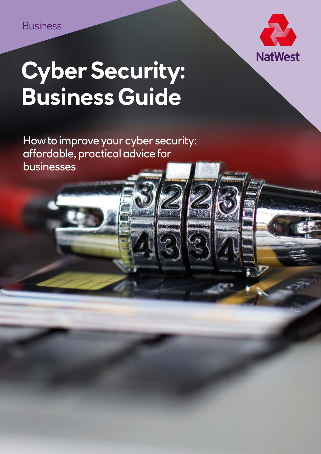

# **Cyber Security: Business Guide**

How to improve your cyber security: affordable, practical advice for businesses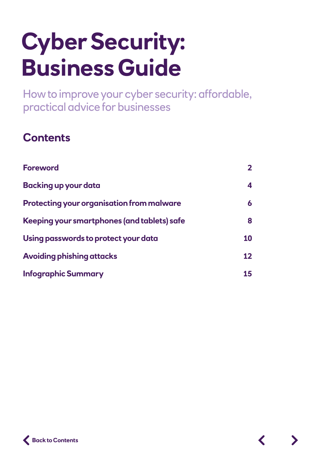# **Cyber Security: Business Guide**

How to improve your cyber security: affordable, practical advice for businesses

# **Contents**

| <b>Foreword</b>                                  |    |
|--------------------------------------------------|----|
| <b>Backing up your data</b>                      | 4  |
| <b>Protecting your organisation from malware</b> | 6  |
| Keeping your smartphones (and tablets) safe      | 8  |
| Using passwords to protect your data             | 10 |
| <b>Avoiding phishing attacks</b>                 | 12 |
| <b>Infographic Summary</b>                       | 15 |

 $\blacktriangle$ 

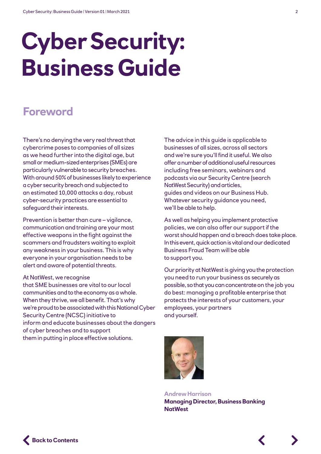# **Cyber Security: Business Guide**

# **Foreword**

There's no denying the very real threat that cybercrime poses to companies of all sizes as we head further into the digital age, but small or medium-sized enterprises (SMEs) are particularly vulnerable to security breaches. With around 50% of businesses likely to experience a cyber security breach and subjected to an estimated 10,000 attacks a day, robust cyber-security practices are essential to safeguard their interests.

Prevention is better than cure – vigilance, communication and training are your most effective weapons in the fight against the scammers and fraudsters waiting to exploit any weakness in your business. This is why everyone in your organisation needs to be alert and aware of potential threats.

#### At NatWest, we recognise

that SME businesses are vital to our local communities and to the economy as a whole. When they thrive, we all benefit. That's why we're proud to be associated with this National Cyber Security Centre (NCSC) initiative to inform and educate businesses about the dangers of cyber breaches and to support them in putting in place effective solutions.

The advice in this guide is applicable to businesses of all sizes, across all sectors and we're sure you'll find it useful. We also offer a number of additional useful resources including free seminars, webinars and podcasts via our Security Centre (search NatWest Security) and articles, guides and videos on our Business Hub. Whatever security guidance you need, we'll be able to help.

As well as helping you implement protective policies, we can also offer our support if the worst should happen and a breach does take place. In this event, quick action is vital and our dedicated Business Fraud Team will be able to support you.

Our priority at NatWest is giving you the protection you need to run your business as securely as possible, so that you can concentrate on the job you do best: managing a profitable enterprise that protects the interests of your customers, your employees, your partners and yourself.



**Andrew Harrison Managing Director, Business Banking NatWest**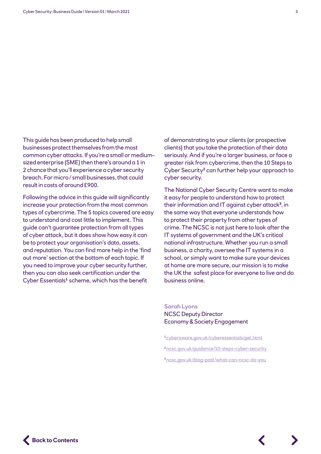This guide has been produced to help small businesses protect themselves from the most common cyber attacks. If you're a small or mediumsized enterprise (SME) then there's around a 1 in 2 chance that you'll experience a cyber security breach. For micro / small businesses, that could result in costs of around £900.

Following the advice in this guide will significantly increase your protection from the most common types of cybercrime. The 5 topics covered are easy to understand and cost little to implement. This guide can't guarantee protection from all types of cyber attack, but it does show how easy it can be to protect your organisation's data, assets, and reputation. You can find more help in the 'find out more' section at the bottom of each topic. If you need to improve your cyber security further, then you can also seek certification under the Cyber Essentials<sup>1</sup> scheme, which has the benefit

of demonstrating to your clients (or prospective clients) that you take the protection of their data seriously. And if you're a larger business, or face a greater risk from cybercrime, then the 10 Steps to Cyber Security² can further help your approach to cyber security.

The National Cyber Security Centre want to make it easy for people to understand how to protect their information and IT against cyber attack<sup>3</sup>, in the same way that everyone understands how to protect their property from other types of crime. The NCSC is not just here to look after the IT systems of government and the UK's critical national infrastructure. Whether you run a small business, a charity, oversee the IT systems in a school, or simply want to make sure your devices at home are more secure, our mission is to make the UK the safest place for everyone to live and do business online.

**Sarah Lyons**  NCSC Deputy Director Economy & Society Engagement

1 [cyberaware.gov.uk/cyberessentials/get.html](http://cyberaware.gov.uk/cyberessentials/get.html) 2 [ncsc.gov.uk/guidance/10-steps-cyber-security](http://ncsc.gov.uk/guidance/10-steps-cyber-security) 3[ncsc.gov.uk/blog-post/what-can-ncsc-do-you](http://ncsc.gov.uk/blog-post/what-can-ncsc-do-you)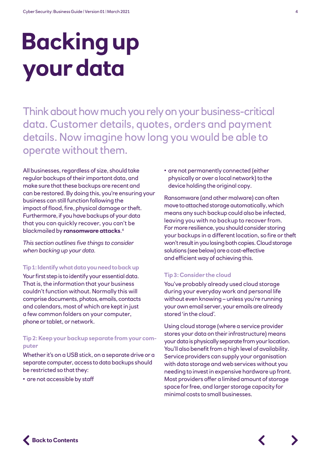# **Backing up your data**

Think about how much you rely on your business-critical data. Customer details, quotes, orders and payment details. Now imagine how long you would be able to operate without them.

All businesses, regardless of size, should take regular backups of their important data, and make sure that these backups are recent and can be restored. By doing this, you're ensuring your business can still function following the impact of flood, fire, physical damage or theft. Furthermore, if you have backups of your data that you can quickly recover, you can't be blackmailed by **ransomware attacks**. 4

*This section outlines five things to consider when backing up your data.*

#### **Tip 1: Identify what data you need to back up**

Your first step is to identify your essential data. That is, the information that your business couldn't function without. Normally this will comprise documents, photos, emails, contacts and calendars, most of which are kept in just a few common folders on your computer, phone or tablet, or network.

# **Tip 2: Keep your backup separate from your computer**

Whether it's on a USB stick, on a separate drive or a separate computer, access to data backups should be restricted so that they:

• are not accessible by staff

• are not permanently connected (either physically or over a local network) to the device holding the original copy.

Ransomware (and other malware) can often move to attached storage automatically, which means any such backup could also be infected, leaving you with no backup to recover from. For more resilience, you should consider storing your backups in a different location, so fire or theft won't result in you losing both copies. Cloud storage solutions (see below) are a cost-effective and efficient way of achieving this.

### **Tip 3: Consider the cloud**

You've probably already used cloud storage during your everyday work and personal life without even knowing – unless you're running your own email server, your emails are already stored 'in the cloud'.

Using cloud storage (where a service provider stores your data on their infrastructure) means your data is physically separate from your location. You'll also benefit from a high level of availability. Service providers can supply your organisation with data storage and web services without you needing to invest in expensive hardware up front. Most providers offer a limited amount of storage space for free, and larger storage capacity for minimal costs to small businesses.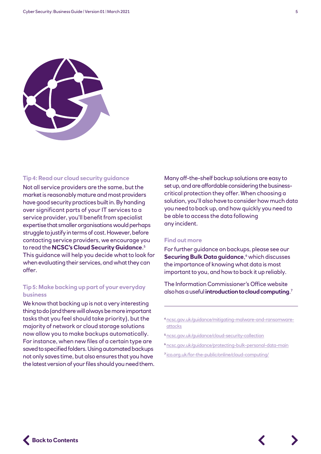

#### **Tip 4: Read our cloud security guidance**

Not all service providers are the same, but the market is reasonably mature and most providers have good security practices built in. By handing over significant parts of your IT services to a service provider, you'll benefit from specialist expertise that smaller organisations would perhaps struggle to justify in terms of cost. However, before contacting service providers, we encourage you to read the **NCSC's Cloud Security Guidance**. 5 This guidance will help you decide what to look for when evaluating their services, and what they can offer.

# **Tip 5: Make backing up part of your everyday business**

We know that backing up is not a very interesting thing to do (and there will always be more important tasks that you feel should take priority), but the majority of network or cloud storage solutions now allow you to make backups automatically. For instance, when new files of a certain type are saved to specified folders. Using automated backups not only saves time, but also ensures that you have the latest version of your files should you need them.

Many off-the-shelf backup solutions are easy to set up, and are affordable considering the businesscritical protection they offer. When choosing a solution, you'll also have to consider how much data you need to back up, and how quickly you need to be able to access the data following any incident.

#### **Find out more**

For further guidance on backups, please see our **Securing Bulk Data guidance,**<sup>6</sup> which discusses the importance of knowing what data is most important to you, and how to back it up reliably.

The Information Commissioner's Office website also has a useful **introduction to cloud computing**. 7

- 4[ncsc.gov.uk/guidance/mitigating-malware-and-ransomware](http://ncsc.gov.uk/guidance/mitigating-malware-and-ransomware-attacks)[attacks](http://ncsc.gov.uk/guidance/mitigating-malware-and-ransomware-attacks)
- 5[ncsc.gov.uk/guidance/cloud-security-collection](http://ncsc.gov.uk/guidance/cloud-security-collection)
- 6[ncsc.gov.uk/guidance/protecting-bulk-personal-data-main](http://ncsc.gov.uk/guidance/protecting-bulk-personal-data-main)
- <sup>7</sup> [ico.org.uk/for-the-public/online/cloud-computing/](http://ico.org.uk/for-the-public/online/cloud-computing/)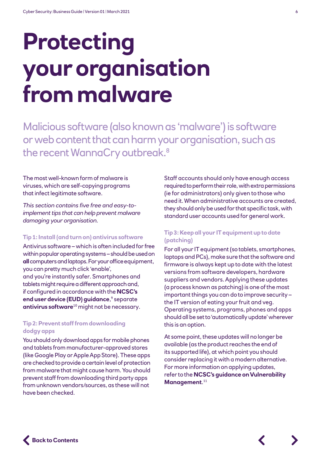# **Protecting your organisation from malware**

Malicious software (also known as 'malware') is software or web content that can harm your organisation, such as the recent WannaCry outbreak.<sup>8</sup>

The most well-known form of malware is viruses, which are self-copying programs that infect legitimate software.

*This section contains five free and easy-toimplement tips that can help prevent malware damaging your organisation.* 

#### **Tip 1: Install (and turn on) antivirus software**

Antivirus software – which is often included for free within popular operating systems – should be used on **all** computers and laptops. For your office equipment, you can pretty much click 'enable', and you're instantly safer. Smartphones and tablets might require a different approach and, if configured in accordance with the **NCSC's end user device (EUD) guidance**,<sup>9</sup> separate **antivirus software**10 might not be necessary.

# **Tip 2: Prevent staff from downloading dodgy apps**

You should only download apps for mobile phones and tablets from manufacturer-approved stores (like Google Play or Apple App Store). These apps are checked to provide a certain level of protection from malware that might cause harm. You should prevent staff from downloading third party apps from unknown vendors/sources, as these will not have been checked.

Staff accounts should only have enough access required to perform their role, with extra permissions (ie for administrators) only given to those who need it. When administrative accounts are created, they should only be used for that specific task, with standard user accounts used for general work.

# **Tip 3: Keep all your IT equipment up to date (patching)**

For all your IT equipment (so tablets, smartphones, laptops and PCs), make sure that the software and firmware is always kept up to date with the latest versions from software developers, hardware suppliers and vendors. Applying these updates (a process known as patching) is one of the most important things you can do to improve security – the IT version of eating your fruit and veg. Operating systems, programs, phones and apps should all be set to 'automatically update' wherever this is an option.

At some point, these updates will no longer be available (as the product reaches the end of its supported life), at which point you should consider replacing it with a modern alternative. For more information on applying updates, refer to the **NCSC's guidance on Vulnerability Management**. 11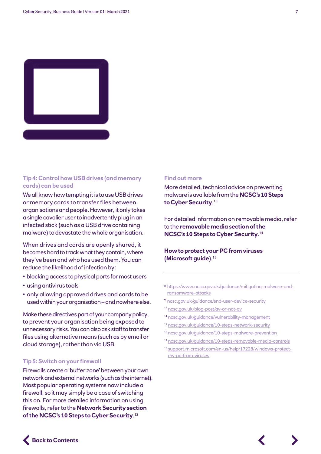



# **Tip 4: Control how USB drives (and memory cards) can be used**

We all know how tempting it is to use USB drives or memory cards to transfer files between organisations and people. However, it only takes a single cavalier user to inadvertently plug in an infected stick (such as a USB drive containing malware) to devastate the whole organisation.

When drives and cards are openly shared, it becomes hard to track what they contain, where they've been and who has used them. You can reduce the likelihood of infection by:

- blocking access to physical ports for most users
- using antivirus tools
- only allowing approved drives and cards to be used within your organisation – and nowhere else.

Make these directives part of your company policy, to prevent your organisation being exposed to unnecessary risks. You can also ask staff to transfer files using alternative means (such as by email or cloud storage), rather than via USB.

### **Tip 5: Switch on your firewall**

Firewalls create a 'buffer zone' between your own network and external networks (such as the internet). Most popular operating systems now include a firewall, so it may simply be a case of switching this on. For more detailed information on using firewalls, refer to the **Network Security section of the NCSC's 10 Steps to Cyber Security**. 12

#### **Find out more**

More detailed, technical advice on preventing malware is available from the **NCSC's 10 Steps to Cyber Security**. 13

For detailed information on removable media, refer to the **removable media section of the NCSC's 10 Steps to Cyber Security**. 14

## **How to protect your PC from viruses (Microsoft guide)**. 15

- 8 [https://www.ncsc.gov.uk/guidance/mitigating-malware-and](https://www.ncsc.gov.uk/guidance/mitigating-malware-and-ransomware-attacks)[ransomware-attacks](https://www.ncsc.gov.uk/guidance/mitigating-malware-and-ransomware-attacks)
- 9 [ncsc.gov.uk/guidance/end-user-device-security](http://ncsc.gov.uk/guidance/end-user-device-security)
- 10 ncsc.gov.uk/blog-post/av-or-not-av
- 11[ncsc.gov.uk/guidance/vulnerability-management](http://ncsc.gov.uk/guidance/vulnerability-management)
- 12[ncsc.gov.uk/guidance/10-steps-network-security](http://ncsc.gov.uk/guidance/10-steps-network-security)
- 13 ncsc.gov.uk/guidance/10-steps-malware-prevention
- 14[ncsc.gov.uk/guidance/10-steps-removable-media-controls](http://ncsc.gov.uk/guidance/10-steps-removable-media-controls)
- <sup>15</sup> [support.microsoft.com/en-us/help/17228/windows-protect](http://support.microsoft.com/en-us/help/17228/windows-protect-my-pc-from-viruses)[my-pc-from-viruses](http://support.microsoft.com/en-us/help/17228/windows-protect-my-pc-from-viruses)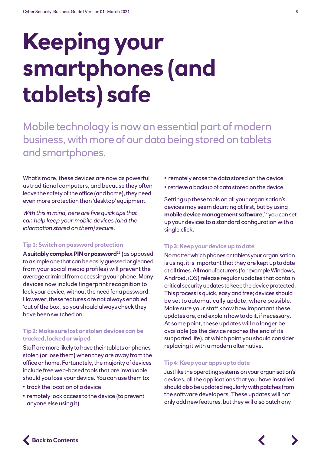# **Keeping your smartphones (and tablets) safe**

Mobile technology is now an essential part of modern business, with more of our data being stored on tablets and smartphones.

What's more, these devices are now as powerful as traditional computers, and because they often leave the safety of the office (and home), they need even more protection than 'desktop' equipment.

*With this in mind, here are five quick tips that can help keep your mobile devices (and the information stored on them) secure.* 

### **Tip 1: Switch on password protection**

A **suitably complex PIN or password**16 (as opposed to a simple one that can be easily guessed or gleaned from your social media profiles) will prevent the average criminal from accessing your phone. Many devices now include fingerprint recognition to lock your device, without the need for a password. However, these features are not always enabled 'out of the box', so you should always check they have been switched on.

### **Tip 2: Make sure lost or stolen devices can be tracked, locked or wiped**

Staff are more likely to have their tablets or phones stolen (or lose them) when they are away from the office or home. Fortunately, the majority of devices include free web-based tools that are invaluable should you lose your device. You can use them to:

- track the location of a device
- remotely lock access to the device (to prevent anyone else using it)
- remotely erase the data stored on the device
- retrieve a backup of data stored on the device.

Setting up these tools on all your organisation's devices may seem daunting at first, but by using **mobile device management software**, 17 you can set up your devices to a standard configuration with a single click.

#### **Tip 3: Keep your device up to date**

No matter which phones or tablets your organisation is using, it is important that they are kept up to date at all times. All manufacturers (for example Windows, Android, iOS) release regular updates that contain critical security updates to keep the device protected. This process is quick, easy and free; devices should be set to automatically update, where possible. Make sure your staff know how important these updates are, and explain how to do it, if necessary. At some point, these updates will no longer be available (as the device reaches the end of its supported life), at which point you should consider replacing it with a modern alternative.

### **Tip 4: Keep your apps up to date**

Just like the operating systems on your organisation's devices, all the applications that you have installed should also be updated regularly with patches from the software developers. These updates will not only add new features, but they will also patch any

 $\blacktriangle$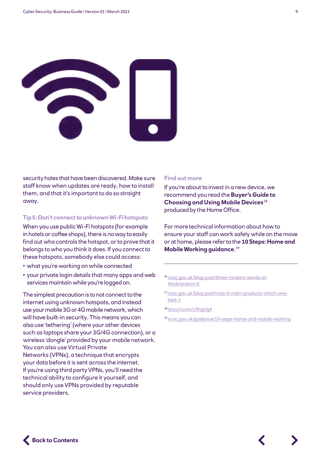

security holes that have been discovered. Make sure staff know when updates are ready, how to install them, and that it's important to do so straight away.

#### **Tip 5: Don't connect to unknown Wi-Fi hotspots**

When you use public Wi-Fi hotspots (for example in hotels or coffee shops), there is no way to easily find out who controls the hotspot, or to prove that it belongs to who you think it does. If you connect to these hotspots, somebody else could access:

- what you're working on while connected
- your private login details that many apps and web services maintain while you're logged on.

The simplest precaution is to not connect to the internet using unknown hotspots, and instead use your mobile 3G or 4G mobile network, which will have built-in security. This means you can also use 'tethering' (where your other devices such as laptops share your 3G/4G connection), or a wireless 'dongle' provided by your mobile network. You can also use Virtual Private Networks (VPNs), a technique that encrypts your data before it is sent across the internet. If you're using third party VPNs, you'll need the technical ability to configure it yourself, and should only use VPNs provided by reputable service providers.

#### **Find out more**

If you're about to invest in a new device, we recommend you read the **Buyer's Guide to Choosing and Using Mobile Devices**<sup>18</sup> produced by the Home Office.

For more technical information about how to ensure your staff can work safely while on the move or at home, please refer to the **10 Steps: Home and Mobile Working guidance**. 19

- 16[ncsc.gov.uk/blog-post/three-random-words-or](http://ncsc.gov.uk/blog-post/three-random-words-or-thinkrandom-0)[thinkrandom-0](http://ncsc.gov.uk/blog-post/three-random-words-or-thinkrandom-0)
- 17 [ncsc.gov.uk/blog-post/ncsc-it-mdm-products-which-one](http://ncsc.gov.uk/blog-post/ncsc-it-mdm-products-which-one-best-1)[best-1](http://ncsc.gov.uk/blog-post/ncsc-it-mdm-products-which-one-best-1)
- <sup>18</sup> [tinyurl.com/y9hgclg4](http://tinyurl.com/y9hgclg4)
- 19[ncsc.gov.uk/guidance/10-steps-home-and-mobile-working](http://ncsc.gov.uk/guidance/10-steps-home-and-mobile-working)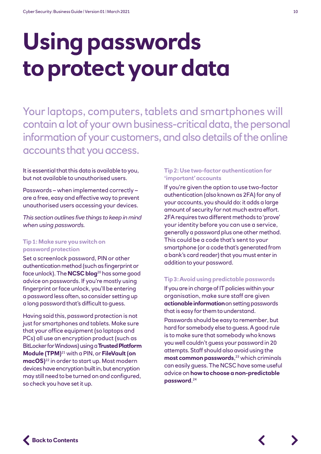# **Using passwords to protect your data**

Your laptops, computers, tablets and smartphones will contain a lot of your own business-critical data, the personal information of your customers, and also details of the online accounts that you access.

It is essential that this data is available to you, but not available to unauthorised users.

Passwords – when implemented correctly – are a free, easy and effective way to prevent unauthorised users accessing your devices.

*This section outlines five things to keep in mind when using passwords.* 

### **Tip 1: Make sure you switch on password protection**

Set a screenlock password, PIN or other authentication method (such as fingerprint or face unlock). The **NCSC blog**20 has some good advice on passwords. If you're mostly using fingerprint or face unlock, you'll be entering a password less often, so consider setting up a long password that's difficult to guess.

Having said this, password protection is not just for smartphones and tablets. Make sure that your office equipment (so laptops and PCs) all use an encryption product (such as BitLocker for Windows) using a **Trusted Platform Module (TPM)**21 with a PIN, or **FileVault (on macOS)**22 in order to start up. Most modern devices have encryption built in, but encryption may still need to be turned on and configured, so check you have set it up.

# **Tip 2: Use two-factor authentication for 'important' accounts**

If you're given the option to use two-factor authentication (also known as 2FA) for any of your accounts, you should do: it adds a large amount of security for not much extra effort. 2FA requires two different methods to 'prove' your identity before you can use a service, generally a password plus one other method. This could be a code that's sent to your smartphone (or a code that's generated from a bank's card reader) that you must enter in addition to your password.

## **Tip 3: Avoid using predictable passwords**

If you are in charge of IT policies within your organisation, make sure staff are given **actionable information**on setting passwords that is easy for them to understand. Passwords should be easy to remember, but hard for somebody else to guess. A good rule is to make sure that somebody who knows you well couldn't guess your password in 20 attempts. Staff should also avoid using the **most common passwords**, 23 which criminals can easily guess. The NCSC have some useful advice on **how to choose a non-predictable password**. 24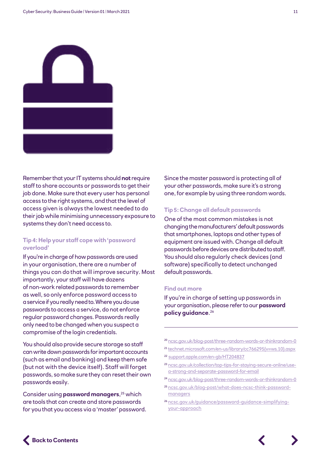

Remember that your IT systems should **not** require staff to share accounts or passwords to get their job done. Make sure that every user has personal access to the right systems, and that the level of access given is always the lowest needed to do their job while minimising unnecessary exposure to systems they don't need access to.

## **Tip 4: Help your staff cope with 'password overload'**

If you're in charge of how passwords are used in your organisation, there are a number of things you can do that will improve security. Most importantly, your staff will have dozens of non-work related passwords to remember as well, so only enforce password access to a service if you really need to. Where you do use passwords to access a service, do not enforce regular password changes. Passwords really only need to be changed when you suspect a compromise of the login credentials.

You should also provide secure storage so staff can write down passwords for important accounts (such as email and banking) and keep them safe (but not with the device itself). Staff will forget passwords, so make sure they can reset their own passwords easily.

Consider using **password managers**, 25 which are tools that can create and store passwords for you that you access via a 'master' password.

Since the master password is protecting all of your other passwords, make sure it's a strong one, for example by using three random words.

### **Tip 5: Change all default passwords**

One of the most common mistakes is not changing the manufacturers' default passwords that smartphones, laptops and other types of equipment are issued with. Change all default passwords before devices are distributed to staff. You should also regularly check devices (and software) specifically to detect unchanged default passwords.

#### **Find out more**

If you're in charge of setting up passwords in your organisation, please refer to our **password policy guidance**. 26

- <sup>20</sup> [ncsc.gov.uk/blog-post/three-random-words-or-thinkrandom-0](http://ncsc.gov.uk/blog-post/three-random-words-or-thinkrandom-0)
- <sup>21</sup> [technet.microsoft.com/en-us/library/cc766295\(v=ws.10\).aspx](http://technet.microsoft.com/en-us/library/cc766295(v=ws.10).aspx)
- <sup>22</sup> [support.apple.com/en-gb/HT204837](http://support.apple.com/en-gb/HT204837)
- <sup>23</sup> [ncsc.gov.uk/collection/top-tips-for-staying-secure-online/use](http://ncsc.gov.uk/collection/top-tips-for-staying-secure-online/use-a-strong-and-separate-password-for-email)[a-strong-and-separate-password-for-email](http://ncsc.gov.uk/collection/top-tips-for-staying-secure-online/use-a-strong-and-separate-password-for-email)
- <sup>24</sup> [ncsc.gov.uk/blog-post/three-random-words-or-thinkrandom-0](http://ncsc.gov.uk/blog-post/three-random-words-or-thinkrandom-0)
- <sup>25</sup> [ncsc.gov.uk/blog-post/what-does-ncsc-think-password](http://ncsc.gov.uk/blog-post/what-does-ncsc-think-password-managers)[managers](http://ncsc.gov.uk/blog-post/what-does-ncsc-think-password-managers)
- <sup>26</sup> [ncsc.gov.uk/guidance/password-guidance-simplifying](http://ncsc.gov.uk/guidance/password-guidance-simplifying-your-approach)[your-approach](http://ncsc.gov.uk/guidance/password-guidance-simplifying-your-approach)

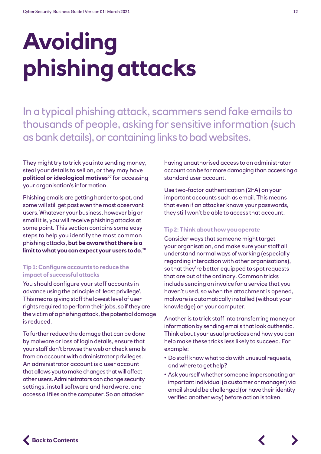# **Avoiding phishing attacks**

In a typical phishing attack, scammers send fake emails to thousands of people, asking for sensitive information (such as bank details), or containing links to bad websites.

They might try to trick you into sending money, steal your details to sell on, or they may have **political or ideological motives**<sup>27</sup> for accessing your organisation's information.

Phishing emails are getting harder to spot, and some will still get past even the most observant users. Whatever your business, however big or small it is, you will receive phishing attacks at some point. This section contains some easy steps to help you identify the most common phishing attacks, **but be aware that there is a limit to what you can expect your users to do**. 28

## **Tip 1: Configure accounts to reduce the impact of successful attacks**

You should configure your staff accounts in advance using the principle of 'least privilege'. This means giving staff the lowest level of user rights required to perform their jobs, so if they are the victim of a phishing attack, the potential damage is reduced.

To further reduce the damage that can be done by malware or loss of login details, ensure that your staff don't browse the web or check emails from an account with administrator privileges. An administrator account is a user account that allows you to make changes that will affect other users. Administrators can change security settings, install software and hardware, and access all files on the computer. So an attacker

having unauthorised access to an administrator account can be far more damaging than accessing a standard user account.

Use two-factor authentication (2FA) on your important accounts such as email. This means that even if an attacker knows your passwords, they still won't be able to access that account.

# **Tip 2: Think about how you operate**

Consider ways that someone might target your organisation, and make sure your staff all understand normal ways of working (especially regarding interaction with other organisations), so that they're better equipped to spot requests that are out of the ordinary. Common tricks include sending an invoice for a service that you haven't used, so when the attachment is opened, malware is automatically installed (without your knowledge) on your computer.

Another is to trick staff into transferring money or information by sending emails that look authentic. Think about your usual practices and how you can help make these tricks less likely to succeed. For example:

- Do staff know what to do with unusual requests, and where to get help?
- Ask yourself whether someone impersonating an important individual (a customer or manager) via email should be challenged (or have their identity verified another way) before action is taken.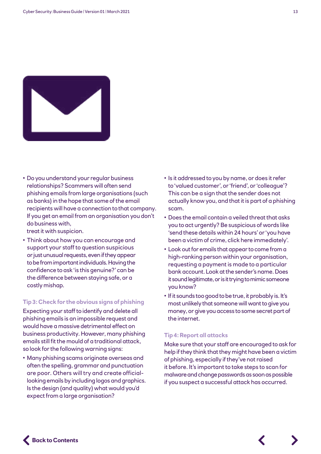

• Do you understand your regular business relationships? Scammers will often send phishing emails from large organisations (such as banks) in the hope that some of the email recipients will have a connection to that company. If you get an email from an organisation you don't do business with,

treat it with suspicion.

• Think about how you can encourage and support your staff to question suspicious or just unusual requests, even if they appear to be from important individuals. Having the confidence to ask 'is this genuine?' can be the difference between staying safe, or a costly mishap.

#### **Tip 3: Check for the obvious signs of phishing**

Expecting your staff to identify and delete all phishing emails is an impossible request and would have a massive detrimental effect on business productivity. However, many phishing emails still fit the mould of a traditional attack, so look for the following warning signs:

• Many phishing scams originate overseas and often the spelling, grammar and punctuation are poor. Others will try and create officiallooking emails by including logos and graphics. Is the design (and quality) what would you'd expect from a large organisation?

- Is it addressed to you by name, or does it refer to 'valued customer', or 'friend', or 'colleague'? This can be a sign that the sender does not actually know you, and that it is part of a phishing scam.
- Does the email contain a veiled threat that asks you to act urgently? Be suspicious of words like 'send these details within 24 hours' or 'you have been a victim of crime, click here immediately'.
- Look out for emails that appear to come from a high-ranking person within your organisation, requesting a payment is made to a particular bank account. Look at the sender's name. Does it sound legitimate, or is it trying to mimic someone you know?
- If it sounds too good to be true, it probably is. It's most unlikely that someone will want to give you money, or give you access to some secret part of the internet.

#### **Tip 4: Report all attacks**

Make sure that your staff are encouraged to ask for help if they think that they might have been a victim of phishing, especially if they've not raised it before. It's important to take steps to scan for malware and change passwords as soon as possible if you suspect a successful attack has occurred.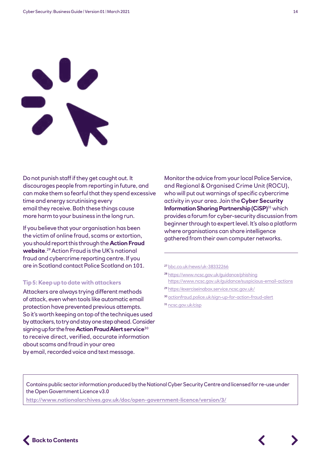

Do not punish staff if they get caught out. It discourages people from reporting in future, and can make them so fearful that they spend excessive time and energy scrutinising every email they receive. Both these things cause more harm to your business in the long run.

If you believe that your organisation has been the victim of online fraud, scams or extortion, you should report this through the **Action Fraud website**. 29 Action Fraud is the UK's national fraud and cybercrime reporting centre. If you are in Scotland contact Police Scotland on 101.

#### **Tip 5: Keep up to date with attackers**

Attackers are always trying different methods of attack, even when tools like automatic email protection have prevented previous attempts. So it's worth keeping on top of the techniques used by attackers, to try and stay one step ahead. Consider signing up for the free **Action Fraud Alert service**<sup>30</sup> to receive direct, verified, accurate information about scams and fraud in your area by email, recorded voice and text message.

Monitor the advice from your local Police Service, and Regional & Organised Crime Unit (ROCU), who will put out warnings of specific cybercrime activity in your area. Join the **Cyber Security Information Sharing Partnership (CiSP)**31 which provides a forum for cyber-security discussion from beginner through to expert level. It's also a platform where organisations can share intelligence gathered from their own computer networks.

<sup>27</sup> [bbc.co.uk/news/uk-38332266](http://bbc.co.uk/news/uk-38332266)

- <sup>28</sup> <https://www.ncsc.gov.uk/guidance/phishing> <https://www.ncsc.gov.uk/guidance/suspicious-email-actions>
- <sup>29</sup> <https://exerciseinabox.service.ncsc.gov.uk/>
- <sup>30</sup> [actionfraud.police.uk/sign-up-for-action-fraud-alert](http://actionfraud.police.uk/sign-up-for-action-fraud-alert)

<sup>31</sup> [ncsc.gov.uk/cisp](http://ncsc.gov.uk/cisp)

Contains public sector information produced by the National Cyber Security Centre and licensed for re-use under the Open Government Licence v3.0

**<http://www.nationalarchives.gov.uk/doc/open-government-licence/version/3/>**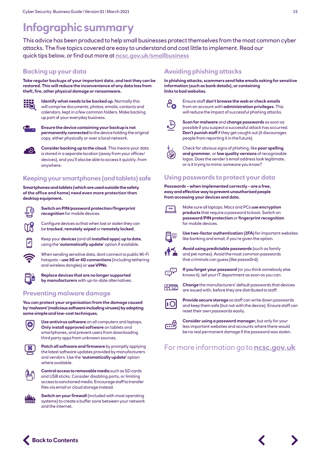# **Infographic summary**

This advice has been produced to help small businesses protect themselves from the most common cyber attacks. The five topics covered are easy to understand and cost little to implement. Read our quick tips below, or find out more at **[ncsc.gov.uk/smallbusiness](http://ncsc.gov.uk/smallbusiness)**

# **Backing up your data**

**Take regular backups of your important data, and test they can be restored. This will reduce the inconvenience of any data loss from theft, fire, other physical damage or ransomware.**



**Identify what needs to be backed up.** Normally this will comprise documents, photos, emails, contacts and calendars, kept in a few common folders. Make backing up part of your everyday business.



**Ensure the device containing your backup is not permanently connected** to the device holding the original copy, either physically or over a local network.



**Consider backing up to the cloud.** This means your data is stored in a separate location (away from your offices/ devices), and you'll also be able to access it quickly, from anywhere.

# **Keeping your smartphones (and tablets) safe**

**Smartphones and tablets (which are used outside the safety of the office and home) need even more protection than desktop equipment.**



**Switch on PIN/password protection/fingerprint recognition** for mobile devices.

Configure devices so that when lost or stolen they can be **tracked, remotely wiped** or **remotely locked**.



Keep your **devices** (and all **installed apps**) **up to date**, using the '**automatically update**' option if available.



When sending sensitive data, dont connect to public Wi-Fi hotspots – **use 3G or 4G connections** (including tethering and wireless dongles) or **use VPNs**.



**Replace devices that are no longer supported by manufacturers** with up-to-date alternatives.

# **Preventing malware damage**

**You can protect your organisation from the damage caused by 'malware' (malicious software including viruses) by adopting some simple and low-cost techniques.**



**Use antivirus software** on all computers and laptops. **Only install approved software** on tablets and smartphones, and prevent users from downloading third party apps from unknown sources.



**Patch all software and firmware** by promptly applying the latest software updates provided by manufacturers and vendors. Use the **'automatically update'** option where available.



**Control access to removable media** such as SD cards and USB sticks. Consider disabling ports, or limiting access to sanctioned media. Encourage staff to transfer files via email or cloud storage instead.



**Switch on your firewall** (included with most operating systems) to create a buffer zone between your network and the internet.

# **Avoiding phishing attacks**

**In phishing attacks, scammers send fake emails asking for sensitive information (such as bank details), or containing links to bad websites.**



Ensure staff **don't browse the web or check emails** from an account with **administration privileges**. This will reduce the impact of successful phishing attacks.



**Scan for malware** and **change passwords** as soon as possible if you suspect a successful attack has occurred. **Don't punish staff** if they get caught out (it discourages people from reporting it in the future).



Check for obvious signs of phishing, like **poor spelling and grammar**, or **low quality versions** of recognisable logos. Does the sender's email address look legitimate, or is it trying to mimic someone you know?

# **Using passwords to protect your data**

**Passwords – when implemented correctly – are a free, easy and effective way to prevent unauthorised people from accessing your devices and data.**



Make sure all laptops, Macs and PCs **use encryption products** that require a password to boot. Switch on **password/PIN protection** or **fingerprint recognition** for mobile devices.



**Use two-factor authentication (2FA)** for important websites like banking and email, if you're given the option.



**Avoid using predictable passwords** (such as family and pet names). Avoid the most common passwords that criminals can guess (like passw0rd).



**If you forget your password** (or you think somebody else knows it), tell your IT department as soon as you can.



**Change** the manufacturers' default passwords that devices are issued with, before they are distributed to staff.



**Provide secure storage** so staff can write down passwords and keep them safe (but not with the device). Ensure staff can reset their own passwords easily.



**Consider using a password manager,** but only for your less important websites and accounts where there would be no real permanent damage if the password was stolen.

# For more information go to **[ncsc.gov.uk](http://ncsc.gov.uk)**